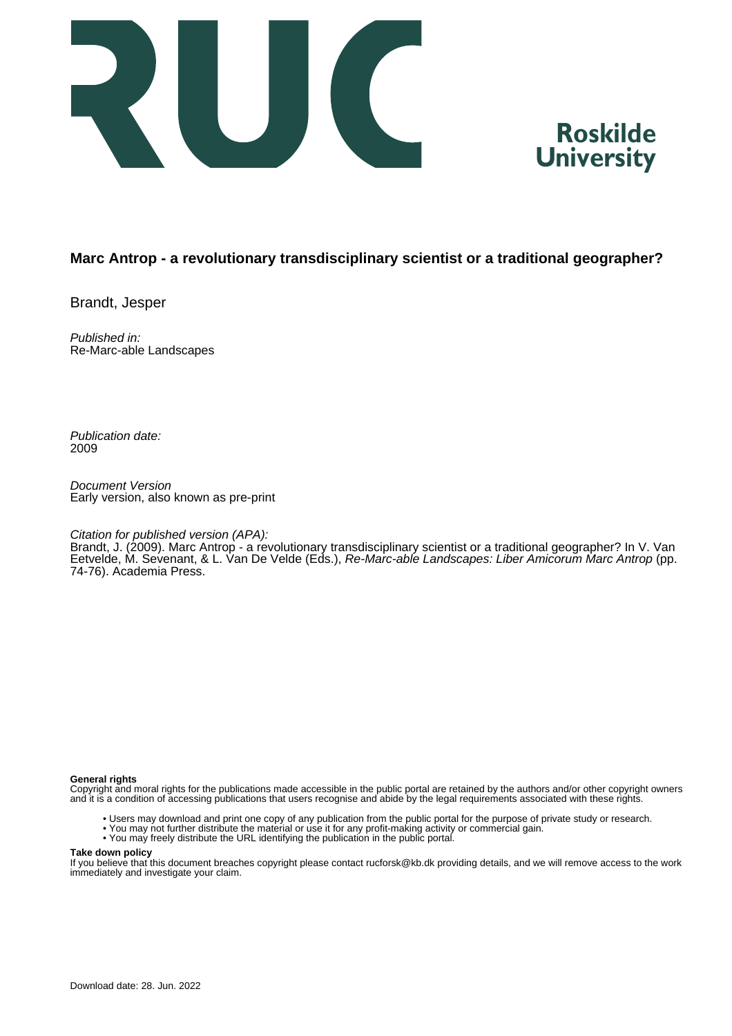



## **Marc Antrop - a revolutionary transdisciplinary scientist or a traditional geographer?**

Brandt, Jesper

Published in: Re-Marc-able Landscapes

Publication date: 2009

Document Version Early version, also known as pre-print

### Citation for published version (APA):

Brandt, J. (2009). Marc Antrop - a revolutionary transdisciplinary scientist or a traditional geographer? In V. Van Eetvelde, M. Sevenant, & L. Van De Velde (Eds.), Re-Marc-able Landscapes: Liber Amicorum Marc Antrop (pp. 74-76). Academia Press.

#### **General rights**

Copyright and moral rights for the publications made accessible in the public portal are retained by the authors and/or other copyright owners and it is a condition of accessing publications that users recognise and abide by the legal requirements associated with these rights.

- Users may download and print one copy of any publication from the public portal for the purpose of private study or research.
- You may not further distribute the material or use it for any profit-making activity or commercial gain.
- You may freely distribute the URL identifying the publication in the public portal.

#### **Take down policy**

If you believe that this document breaches copyright please contact rucforsk@kb.dk providing details, and we will remove access to the work immediately and investigate your claim.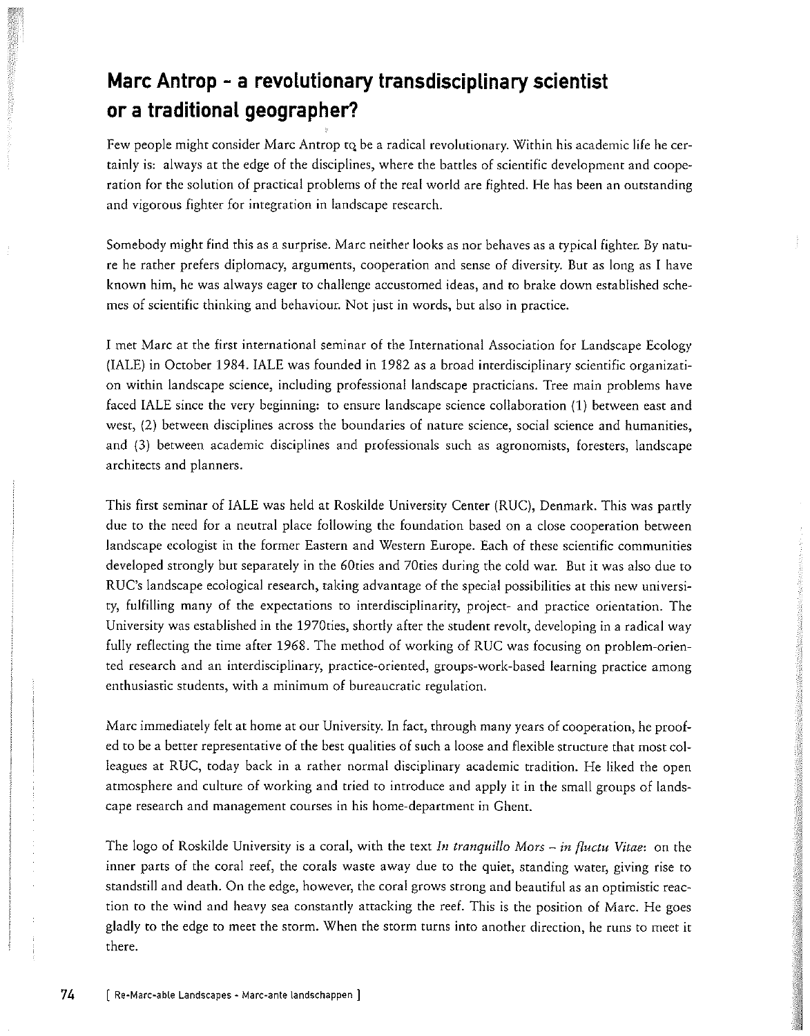# Marc Antrop - a revolutionary transdisciplinary scientist or a traditional geographer?

Few people might consider Marc Antrop to be a radical revolutionary. Within his academic life he certainly is: always at the edge of the disciplines, where the battles of scientific development and cooperation for the solution of practical problems of the real world are fighted. He has been an outstanding and vigorous fighter for integration in landscape research.

Somebody might find this as a surprise. Marc neither looks as nor behaves as a typical fighter. By nature he rather prefers diplomacy, arguments, cooperation and sense of diversity. But as long as I have known him, he was always eager to challenge accustomed ideas, and to brake down established schemes of scientific thinking and behaviour. Not just in words, but also in practice.

I met Marc at the first international seminar of the International Association for Landscape Ecology (IALE) in October 1984. IALE was founded in 1982 as a broad interdisciplinary scientific organization within landscape science, including professional landscape practicians. Tree main problems have faced IALE since the very beginning: to ensure landscape science collaboration (1) between east and west, (2) between disciplines across the boundaries of nature science, social science and humanities, and (3) between academic disciplines and professionals such as agronomists, foresters, landscape architects and planners.

This first seminar of IALE was held at Roskilde University Center (RUC), Denmark. This was partly due to the need for a neutral place following the foundation based on a close cooperation between landscape ecologist in the former Eastern and Western Europe. Each of these scientific communities developed strongly but separately in the 60ties and 70ties during the cold war. But it was also due to RUC's landscape ecological research, taking advantage of the special possibilities at this new university, fulfilling many of the expectations to interdisciplinarity, project- and practice orientation. The University was established in the 1970ties, shortly after the student revolt, developing in a radical way fully reflecting the time after 1968. The method of working of RUC was focusing on problem-oriented research and an interdisciplinary, practice-oriented, groups-work-based learning practice among enthusiastic students, with a minimum of bureaucratic regulation.

Marc immediately felt at home at our University. In fact, through many years of cooperation, he proofed to be a better representative of the best qualities of such a loose and flexible structure that most colleagues at RUC, today back in a rather normal disciplinary academic tradition. He liked the open atmosphere and culture of working and tried to introduce and apply it in the small groups of landscape research and management courses in his home-department in Ghent.

The logo of Roskilde University is a coral, with the text In tranquillo Mors – in fluctu Vitae: on the inner parts of the coral reef, the corals waste away due to the quiet, standing water, giving rise to standstill and death. On the edge, however, the coral grows strong and beautiful as an optimistic reaction to the wind and heavy sea constantly attacking the reef. This is the position of Marc. He goes gladly to the edge to meet the storm. When the storm turns into another direction, he runs to meet it there.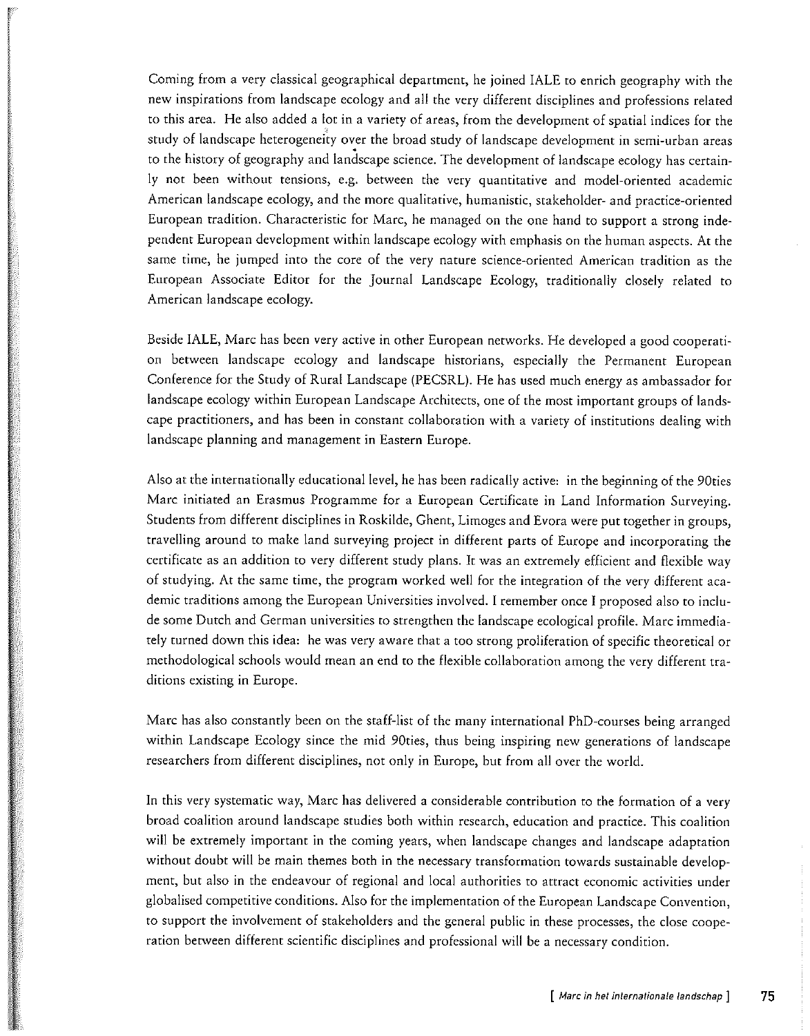Coming from a very classical geographical department, he joined IALE to enrich geography with the new inspirations from landscape ecology and all the very different disciplines and professions related to this area. He also added a lot in a variety of areas, from the development of spatial indices for the study of landscape heterogeneity over the broad study of landscape development in semi-urban areas to the history of geography and landscape science. The development of landscape ecology has certainly not been without tensions, e.g. between the very quantitative and model-oriented academic American landscape ecology, and the more qualitative, humanistic, stakeholder- and practice-oriented European tradition. Characteristic for Marc, he managed on the one hand to support a strong independent European development within landscape ecology with emphasis on the human aspects. At the same time, he jumped into the core of the very nature science-oriented American tradition as the European Associate Editor for the Journal Landscape Ecology, traditionally closely related to American landscape ecology.

Beside IALE, Marc has been very active in other European networks. He developed a good cooperation between landscape ecology and landscape historians, especially the Permanent European Conference for the Study of Rural Landscape (PECSRL). He has used much energy as ambassador for landscape ecology within European Landscape Architects, one of the most important groups of landscape practitioners, and has been in constant collaboration with a variety of institutions dealing with landscape planning and management in Eastern Europe.

Also at the internationally educational level, he has been radically active: in the beginning of the 90ties Marc initiated an Erasmus Programme for a European Certificate in Land Information Surveying. Students from different disciplines in Roskilde, Ghent, Limoges and Evora were put together in groups, travelling around to make land surveying project in different parts of Europe and incorporating the certificate as an addition to very different study plans. It was an extremely efficient and flexible way of studying. At the same time, the program worked well for the integration of the very different academic traditions among the European Universities involved. I remember once I proposed also to include some Dutch and German universities to strengthen the landscape ecological profile. Marc immediately turned down this idea: he was very aware that a too strong proliferation of specific theoretical or methodological schools would mean an end to the flexible collaboration among the very different traditions existing in Europe.

Marc has also constantly been on the staff-list of the many international PhD-courses being arranged within Landscape Ecology since the mid 90ties, thus being inspiring new generations of landscape researchers from different disciplines, not only in Europe, but from all over the world.

In this very systematic way, Marc has delivered a considerable contribution to the formation of a very broad coalition around landscape studies both within research, education and practice. This coalition will be extremely important in the coming years, when landscape changes and landscape adaptation without doubt will be main themes both in the necessary transformation towards sustainable development, but also in the endeavour of regional and local authorities to attract economic activities under globalised competitive conditions. Also for the implementation of the European Landscape Convention, to support the involvement of stakeholders and the general public in these processes, the close cooperation between different scientific disciplines and professional will be a necessary condition.